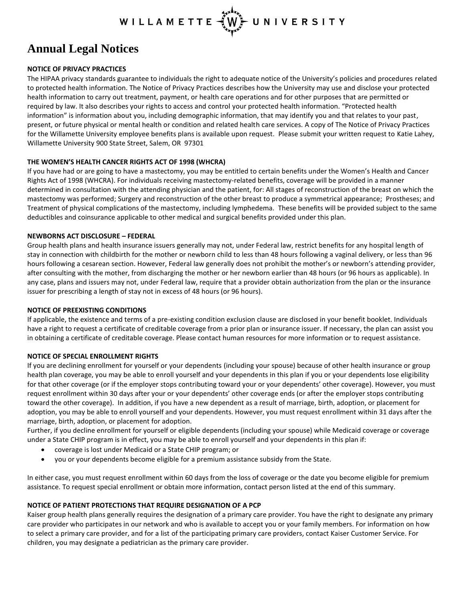## WILLAMETTE UNIVERSITY

# **Annual Legal Notices**

## **NOTICE OF PRIVACY PRACTICES**

The HIPAA privacy standards guarantee to individuals the right to adequate notice of the University's policies and procedures related to protected health information. The Notice of Privacy Practices describes how the University may use and disclose your protected health information to carry out treatment, payment, or health care operations and for other purposes that are permitted or required by law. It also describes your rights to access and control your protected health information. "Protected health information" is information about you, including demographic information, that may identify you and that relates to your past, present, or future physical or mental health or condition and related health care services. A copy of The Notice of Privacy Practices for the Willamette University employee benefits plans is available upon request. Please submit your written request to Katie Lahey, Willamette University 900 State Street, Salem, OR 97301

### **THE WOMEN'S HEALTH CANCER RIGHTS ACT OF 1998 (WHCRA)**

If you have had or are going to have a mastectomy, you may be entitled to certain benefits under the Women's Health and Cancer Rights Act of 1998 (WHCRA). For individuals receiving mastectomy-related benefits, coverage will be provided in a manner determined in consultation with the attending physician and the patient, for: All stages of reconstruction of the breast on which the mastectomy was performed; Surgery and reconstruction of the other breast to produce a symmetrical appearance; Prostheses; and Treatment of physical complications of the mastectomy, including lymphedema. These benefits will be provided subject to the same deductibles and coinsurance applicable to other medical and surgical benefits provided under this plan.

## **NEWBORNS ACT DISCLOSURE – FEDERAL**

Group health plans and health insurance issuers generally may not, under Federal law, restrict benefits for any hospital length of stay in connection with childbirth for the mother or newborn child to less than 48 hours following a vaginal delivery, or less than 96 hours following a cesarean section. However, Federal law generally does not prohibit the mother's or newborn's attending provider, after consulting with the mother, from discharging the mother or her newborn earlier than 48 hours (or 96 hours as applicable). In any case, plans and issuers may not, under Federal law, require that a provider obtain authorization from the plan or the insurance issuer for prescribing a length of stay not in excess of 48 hours (or 96 hours).

### **NOTICE OF PREEXISTING CONDITIONS**

If applicable, the existence and terms of a pre-existing condition exclusion clause are disclosed in your benefit booklet. Individuals have a right to request a certificate of creditable coverage from a prior plan or insurance issuer. If necessary, the plan can assist you in obtaining a certificate of creditable coverage. Please contact human resources for more information or to request assistance.

## **NOTICE OF SPECIAL ENROLLMENT RIGHTS**

If you are declining enrollment for yourself or your dependents (including your spouse) because of other health insurance or group health plan coverage, you may be able to enroll yourself and your dependents in this plan if you or your dependents lose eligibility for that other coverage (or if the employer stops contributing toward your or your dependents' other coverage). However, you must request enrollment within 30 days after your or your dependents' other coverage ends (or after the employer stops contributing toward the other coverage). In addition, if you have a new dependent as a result of marriage, birth, adoption, or placement for adoption, you may be able to enroll yourself and your dependents. However, you must request enrollment within 31 days after the marriage, birth, adoption, or placement for adoption.

Further, if you decline enrollment for yourself or eligible dependents (including your spouse) while Medicaid coverage or coverage under a State CHIP program is in effect, you may be able to enroll yourself and your dependents in this plan if:

- coverage is lost under Medicaid or a State CHIP program; or
- you or your dependents become eligible for a premium assistance subsidy from the State.

In either case, you must request enrollment within 60 days from the loss of coverage or the date you become eligible for premium assistance. To request special enrollment or obtain more information, contact person listed at the end of this summary.

## **NOTICE OF PATIENT PROTECTIONS THAT REQUIRE DESIGNATION OF A PCP**

Kaiser group health plans generally requires the designation of a primary care provider. You have the right to designate any primary care provider who participates in our network and who is available to accept you or your family members. For information on how to select a primary care provider, and for a list of the participating primary care providers, contact Kaiser Customer Service. For children, you may designate a pediatrician as the primary care provider.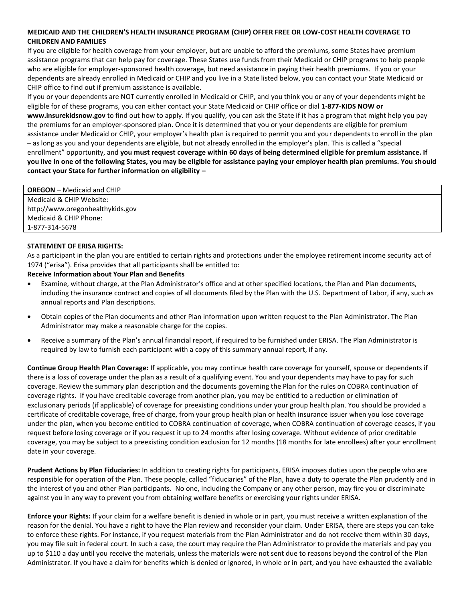### **MEDICAID AND THE CHILDREN'S HEALTH INSURANCE PROGRAM (CHIP) OFFER FREE OR LOW-COST HEALTH COVERAGE TO CHILDREN AND FAMILIES**

If you are eligible for health coverage from your employer, but are unable to afford the premiums, some States have premium assistance programs that can help pay for coverage. These States use funds from their Medicaid or CHIP programs to help people who are eligible for employer-sponsored health coverage, but need assistance in paying their health premiums. If you or your dependents are already enrolled in Medicaid or CHIP and you live in a State listed below, you can contact your State Medicaid or CHIP office to find out if premium assistance is available.

If you or your dependents are NOT currently enrolled in Medicaid or CHIP, and you think you or any of your dependents might be eligible for of these programs, you can either contact your State Medicaid or CHIP office or dial **1-877-KIDS NOW or www.insurekidsnow.gov** to find out how to apply. If you qualify, you can ask the State if it has a program that might help you pay the premiums for an employer-sponsored plan. Once it is determined that you or your dependents are eligible for premium assistance under Medicaid or CHIP, your employer's health plan is required to permit you and your dependents to enroll in the plan – as long as you and your dependents are eligible, but not already enrolled in the employer's plan. This is called a "special enrollment" opportunity, and **you must request coverage within 60 days of being determined eligible for premium assistance. If you live in one of the following States, you may be eligible for assistance paying your employer health plan premiums. You should contact your State for further information on eligibility –**

**OREGON** – Medicaid and CHIP Medicaid & CHIP Website: http://www.oregonhealthykids.gov Medicaid & CHIP Phone: 1-877-314-5678

### **STATEMENT OF ERISA RIGHTS:**

As a participant in the plan you are entitled to certain rights and protections under the employee retirement income security act of 1974 ("erisa"). Erisa provides that all participants shall be entitled to:

#### **Receive Information about Your Plan and Benefits**

- Examine, without charge, at the Plan Administrator's office and at other specified locations, the Plan and Plan documents, including the insurance contract and copies of all documents filed by the Plan with the U.S. Department of Labor, if any, such as annual reports and Plan descriptions.
- Obtain copies of the Plan documents and other Plan information upon written request to the Plan Administrator. The Plan Administrator may make a reasonable charge for the copies.
- Receive a summary of the Plan's annual financial report, if required to be furnished under ERISA. The Plan Administrator is required by law to furnish each participant with a copy of this summary annual report, if any.

**Continue Group Health Plan Coverage:** If applicable, you may continue health care coverage for yourself, spouse or dependents if there is a loss of coverage under the plan as a result of a qualifying event. You and your dependents may have to pay for such coverage. Review the summary plan description and the documents governing the Plan for the rules on COBRA continuation of coverage rights. If you have creditable coverage from another plan, you may be entitled to a reduction or elimination of exclusionary periods (if applicable) of coverage for preexisting conditions under your group health plan. You should be provided a certificate of creditable coverage, free of charge, from your group health plan or health insurance issuer when you lose coverage under the plan, when you become entitled to COBRA continuation of coverage, when COBRA continuation of coverage ceases, if you request before losing coverage or if you request it up to 24 months after losing coverage. Without evidence of prior creditable coverage, you may be subject to a preexisting condition exclusion for 12 months (18 months for late enrollees) after your enrollment date in your coverage.

**Prudent Actions by Plan Fiduciaries:** In addition to creating rights for participants, ERISA imposes duties upon the people who are responsible for operation of the Plan. These people, called "fiduciaries" of the Plan, have a duty to operate the Plan prudently and in the interest of you and other Plan participants. No one, including the Company or any other person, may fire you or discriminate against you in any way to prevent you from obtaining welfare benefits or exercising your rights under ERISA.

**Enforce your Rights:** If your claim for a welfare benefit is denied in whole or in part, you must receive a written explanation of the reason for the denial. You have a right to have the Plan review and reconsider your claim. Under ERISA, there are steps you can take to enforce these rights. For instance, if you request materials from the Plan Administrator and do not receive them within 30 days, you may file suit in federal court. In such a case, the court may require the Plan Administrator to provide the materials and pay you up to \$110 a day until you receive the materials, unless the materials were not sent due to reasons beyond the control of the Plan Administrator. If you have a claim for benefits which is denied or ignored, in whole or in part, and you have exhausted the available